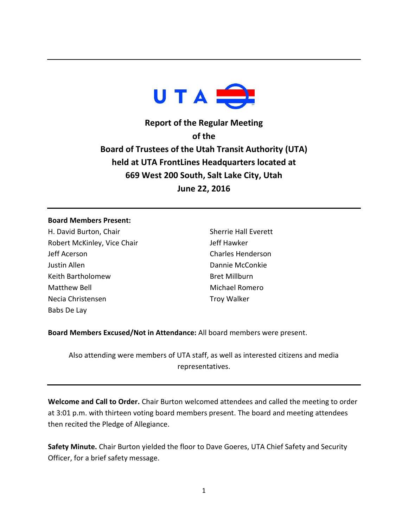

**Report of the Regular Meeting of the Board of Trustees of the Utah Transit Authority (UTA) held at UTA FrontLines Headquarters located at 669 West 200 South, Salt Lake City, Utah June 22, 2016**

## **Board Members Present:**

H. David Burton, Chair Robert McKinley, Vice Chair Jeff Acerson Justin Allen Keith Bartholomew Matthew Bell Necia Christensen Babs De Lay

Sherrie Hall Everett Jeff Hawker Charles Henderson Dannie McConkie Bret Millburn Michael Romero Troy Walker

**Board Members Excused/Not in Attendance:** All board members were present.

Also attending were members of UTA staff, as well as interested citizens and media representatives.

**Welcome and Call to Order.** Chair Burton welcomed attendees and called the meeting to order at 3:01 p.m. with thirteen voting board members present. The board and meeting attendees then recited the Pledge of Allegiance.

**Safety Minute.** Chair Burton yielded the floor to Dave Goeres, UTA Chief Safety and Security Officer, for a brief safety message.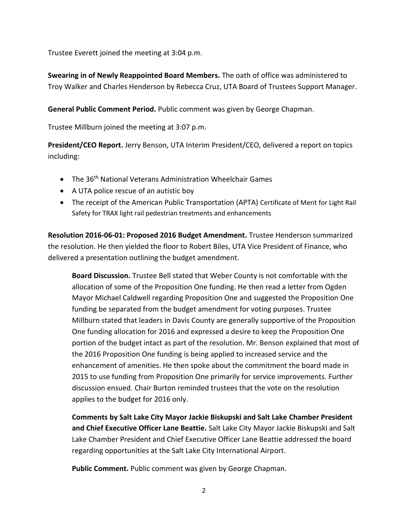Trustee Everett joined the meeting at 3:04 p.m.

**Swearing in of Newly Reappointed Board Members.** The oath of office was administered to Troy Walker and Charles Henderson by Rebecca Cruz, UTA Board of Trustees Support Manager.

**General Public Comment Period.** Public comment was given by George Chapman.

Trustee Millburn joined the meeting at 3:07 p.m.

**President/CEO Report.** Jerry Benson, UTA Interim President/CEO, delivered a report on topics including:

- The 36<sup>th</sup> National Veterans Administration Wheelchair Games
- A UTA police rescue of an autistic boy
- The receipt of the American Public Transportation (APTA) Certificate of Merit for Light Rail Safety for TRAX light rail pedestrian treatments and enhancements

**Resolution 2016-06-01: Proposed 2016 Budget Amendment.** Trustee Henderson summarized the resolution. He then yielded the floor to Robert Biles, UTA Vice President of Finance, who delivered a presentation outlining the budget amendment.

**Board Discussion.** Trustee Bell stated that Weber County is not comfortable with the allocation of some of the Proposition One funding. He then read a letter from Ogden Mayor Michael Caldwell regarding Proposition One and suggested the Proposition One funding be separated from the budget amendment for voting purposes. Trustee Millburn stated that leaders in Davis County are generally supportive of the Proposition One funding allocation for 2016 and expressed a desire to keep the Proposition One portion of the budget intact as part of the resolution. Mr. Benson explained that most of the 2016 Proposition One funding is being applied to increased service and the enhancement of amenities. He then spoke about the commitment the board made in 2015 to use funding from Proposition One primarily for service improvements. Further discussion ensued. Chair Burton reminded trustees that the vote on the resolution applies to the budget for 2016 only.

**Comments by Salt Lake City Mayor Jackie Biskupski and Salt Lake Chamber President and Chief Executive Officer Lane Beattie.** Salt Lake City Mayor Jackie Biskupski and Salt Lake Chamber President and Chief Executive Officer Lane Beattie addressed the board regarding opportunities at the Salt Lake City International Airport.

**Public Comment.** Public comment was given by George Chapman.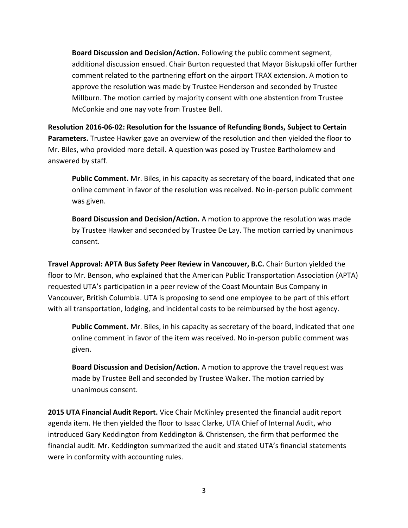**Board Discussion and Decision/Action.** Following the public comment segment, additional discussion ensued. Chair Burton requested that Mayor Biskupski offer further comment related to the partnering effort on the airport TRAX extension. A motion to approve the resolution was made by Trustee Henderson and seconded by Trustee Millburn. The motion carried by majority consent with one abstention from Trustee McConkie and one nay vote from Trustee Bell.

**Resolution 2016-06-02: Resolution for the Issuance of Refunding Bonds, Subject to Certain Parameters.** Trustee Hawker gave an overview of the resolution and then yielded the floor to Mr. Biles, who provided more detail. A question was posed by Trustee Bartholomew and answered by staff.

**Public Comment.** Mr. Biles, in his capacity as secretary of the board, indicated that one online comment in favor of the resolution was received. No in-person public comment was given.

**Board Discussion and Decision/Action.** A motion to approve the resolution was made by Trustee Hawker and seconded by Trustee De Lay. The motion carried by unanimous consent.

**Travel Approval: APTA Bus Safety Peer Review in Vancouver, B.C.** Chair Burton yielded the floor to Mr. Benson, who explained that the American Public Transportation Association (APTA) requested UTA's participation in a peer review of the Coast Mountain Bus Company in Vancouver, British Columbia. UTA is proposing to send one employee to be part of this effort with all transportation, lodging, and incidental costs to be reimbursed by the host agency.

**Public Comment.** Mr. Biles, in his capacity as secretary of the board, indicated that one online comment in favor of the item was received. No in-person public comment was given.

**Board Discussion and Decision/Action.** A motion to approve the travel request was made by Trustee Bell and seconded by Trustee Walker. The motion carried by unanimous consent.

**2015 UTA Financial Audit Report.** Vice Chair McKinley presented the financial audit report agenda item. He then yielded the floor to Isaac Clarke, UTA Chief of Internal Audit, who introduced Gary Keddington from Keddington & Christensen, the firm that performed the financial audit. Mr. Keddington summarized the audit and stated UTA's financial statements were in conformity with accounting rules.